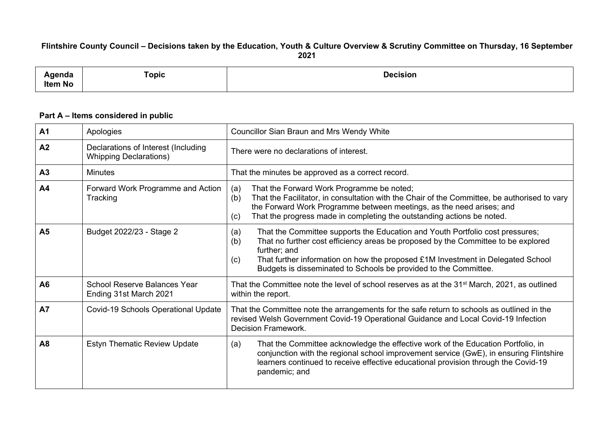## Flintshire County Council - Decisions taken by the Education, Youth & Culture Overview & Scrutiny Committee on Thursday, 16 September **2021**

| .<br><b>Item No</b> | -<br>Topic | <b>Desisien</b> |
|---------------------|------------|-----------------|
|                     |            |                 |

## **Part A – Items considered in public**

| A <sub>1</sub> | Apologies                                                            | <b>Councillor Sian Braun and Mrs Wendy White</b>                                                                                                                                                                                                                                                                                                               |  |  |
|----------------|----------------------------------------------------------------------|----------------------------------------------------------------------------------------------------------------------------------------------------------------------------------------------------------------------------------------------------------------------------------------------------------------------------------------------------------------|--|--|
| A <sub>2</sub> | Declarations of Interest (Including<br><b>Whipping Declarations)</b> | There were no declarations of interest.                                                                                                                                                                                                                                                                                                                        |  |  |
| A <sub>3</sub> | <b>Minutes</b>                                                       | That the minutes be approved as a correct record.                                                                                                                                                                                                                                                                                                              |  |  |
| A4             | Forward Work Programme and Action<br>Tracking                        | That the Forward Work Programme be noted;<br>(a)<br>That the Facilitator, in consultation with the Chair of the Committee, be authorised to vary<br>(b)<br>the Forward Work Programme between meetings, as the need arises; and<br>That the progress made in completing the outstanding actions be noted.<br>(c)                                               |  |  |
| A <sub>5</sub> | Budget 2022/23 - Stage 2                                             | That the Committee supports the Education and Youth Portfolio cost pressures;<br>(a)<br>That no further cost efficiency areas be proposed by the Committee to be explored<br>(b)<br>further; and<br>That further information on how the proposed £1M Investment in Delegated School<br>(c)<br>Budgets is disseminated to Schools be provided to the Committee. |  |  |
| A6             | <b>School Reserve Balances Year</b><br>Ending 31st March 2021        | That the Committee note the level of school reserves as at the 31 <sup>st</sup> March, 2021, as outlined<br>within the report.                                                                                                                                                                                                                                 |  |  |
| <b>A7</b>      | Covid-19 Schools Operational Update                                  | That the Committee note the arrangements for the safe return to schools as outlined in the<br>revised Welsh Government Covid-19 Operational Guidance and Local Covid-19 Infection<br>Decision Framework.                                                                                                                                                       |  |  |
| <b>A8</b>      | <b>Estyn Thematic Review Update</b>                                  | That the Committee acknowledge the effective work of the Education Portfolio, in<br>(a)<br>conjunction with the regional school improvement service (GwE), in ensuring Flintshire<br>learners continued to receive effective educational provision through the Covid-19<br>pandemic; and                                                                       |  |  |